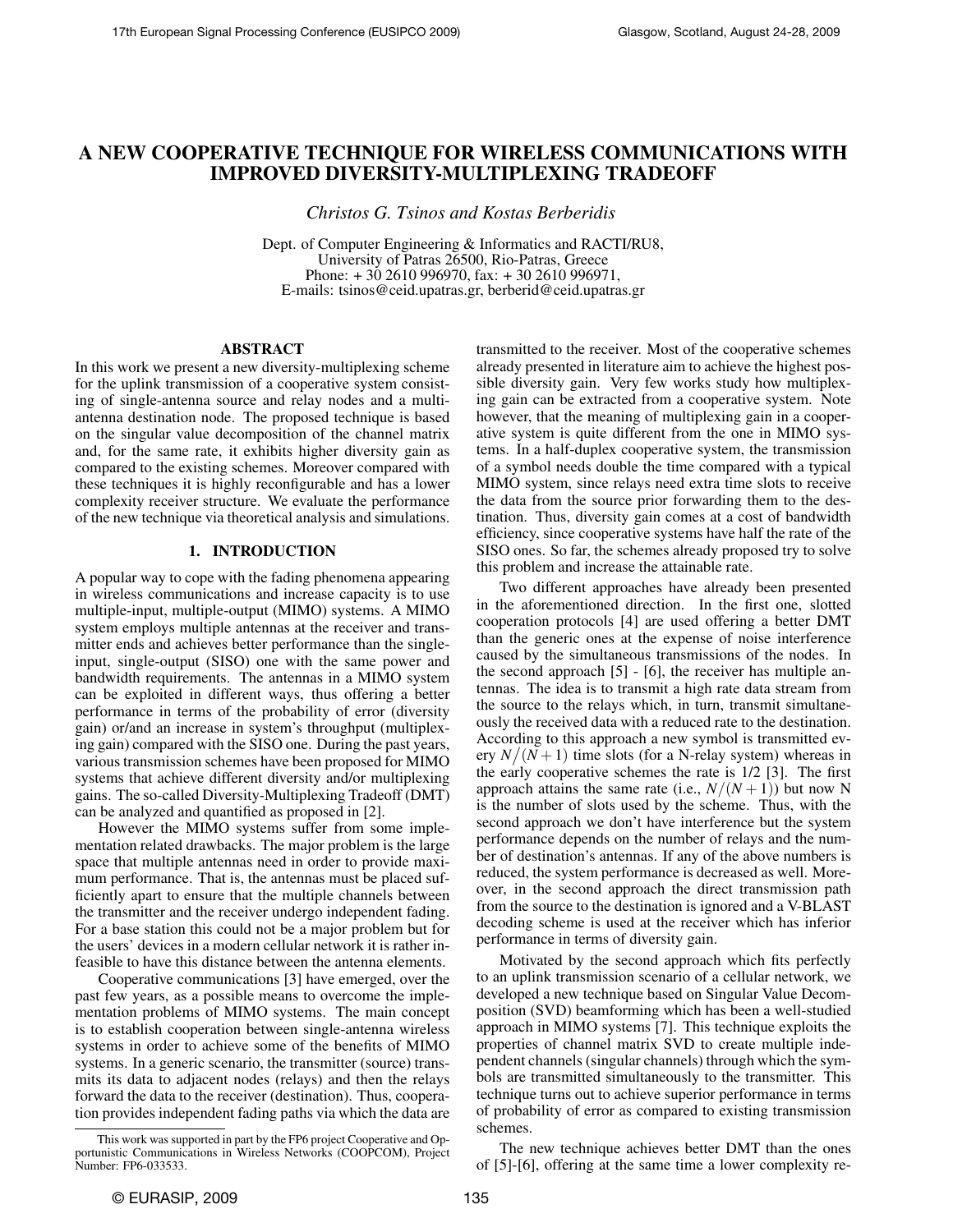# A NEW COOPERATIVE TECHNIQUE FOR WIRELESS COMMUNICATIONS WITH IMPROVED DIVERSITY-MULTIPLEXING TRADEOFF

*Christos G. Tsinos and Kostas Berberidis*

Dept. of Computer Engineering & Informatics and RACTI/RU8, University of Patras 26500, Rio-Patras, Greece Phone: + 30 2610 996970, fax: + 30 2610 996971, E-mails: tsinos@ceid.upatras.gr, berberid@ceid.upatras.gr

# ABSTRACT

In this work we present a new diversity-multiplexing scheme for the uplink transmission of a cooperative system consisting of single-antenna source and relay nodes and a multiantenna destination node. The proposed technique is based on the singular value decomposition of the channel matrix and, for the same rate, it exhibits higher diversity gain as compared to the existing schemes. Moreover compared with these techniques it is highly reconfigurable and has a lower complexity receiver structure. We evaluate the performance of the new technique via theoretical analysis and simulations.

### 1. INTRODUCTION

A popular way to cope with the fading phenomena appearing in wireless communications and increase capacity is to use multiple-input, multiple-output (MIMO) systems. A MIMO system employs multiple antennas at the receiver and transmitter ends and achieves better performance than the singleinput, single-output (SISO) one with the same power and bandwidth requirements. The antennas in a MIMO system can be exploited in different ways, thus offering a better performance in terms of the probability of error (diversity gain) or/and an increase in system's throughput (multiplexing gain) compared with the SISO one. During the past years, various transmission schemes have been proposed for MIMO systems that achieve different diversity and/or multiplexing gains. The so-called Diversity-Multiplexing Tradeoff (DMT) can be analyzed and quantified as proposed in [2].

However the MIMO systems suffer from some implementation related drawbacks. The major problem is the large space that multiple antennas need in order to provide maximum performance. That is, the antennas must be placed sufficiently apart to ensure that the multiple channels between the transmitter and the receiver undergo independent fading. For a base station this could not be a major problem but for the users' devices in a modern cellular network it is rather infeasible to have this distance between the antenna elements.

Cooperative communications [3] have emerged, over the past few years, as a possible means to overcome the implementation problems of MIMO systems. The main concept is to establish cooperation between single-antenna wireless systems in order to achieve some of the benefits of MIMO systems. In a generic scenario, the transmitter (source) transmits its data to adjacent nodes (relays) and then the relays forward the data to the receiver (destination). Thus, cooperation provides independent fading paths via which the data are

transmitted to the receiver. Most of the cooperative schemes already presented in literature aim to achieve the highest possible diversity gain. Very few works study how multiplexing gain can be extracted from a cooperative system. Note however, that the meaning of multiplexing gain in a cooperative system is quite different from the one in MIMO systems. In a half-duplex cooperative system, the transmission of a symbol needs double the time compared with a typical MIMO system, since relays need extra time slots to receive the data from the source prior forwarding them to the destination. Thus, diversity gain comes at a cost of bandwidth efficiency, since cooperative systems have half the rate of the SISO ones. So far, the schemes already proposed try to solve this problem and increase the attainable rate.

Two different approaches have already been presented in the aforementioned direction. In the first one, slotted cooperation protocols [4] are used offering a better DMT than the generic ones at the expense of noise interference caused by the simultaneous transmissions of the nodes. In the second approach [5] - [6], the receiver has multiple antennas. The idea is to transmit a high rate data stream from the source to the relays which, in turn, transmit simultaneously the received data with a reduced rate to the destination. According to this approach a new symbol is transmitted every  $N/(N+1)$  time slots (for a N-relay system) whereas in the early cooperative schemes the rate is 1/2 [3]. The first approach attains the same rate (i.e.,  $N/(N+1)$ ) but now N is the number of slots used by the scheme. Thus, with the second approach we don't have interference but the system performance depends on the number of relays and the number of destination's antennas. If any of the above numbers is reduced, the system performance is decreased as well. Moreover, in the second approach the direct transmission path from the source to the destination is ignored and a V-BLAST decoding scheme is used at the receiver which has inferior performance in terms of diversity gain.

Motivated by the second approach which fits perfectly to an uplink transmission scenario of a cellular network, we developed a new technique based on Singular Value Decomposition (SVD) beamforming which has been a well-studied approach in MIMO systems [7]. This technique exploits the properties of channel matrix SVD to create multiple independent channels (singular channels) through which the symbols are transmitted simultaneously to the transmitter. This technique turns out to achieve superior performance in terms of probability of error as compared to existing transmission schemes.

The new technique achieves better DMT than the ones of [5]-[6], offering at the same time a lower complexity re-

This work was supported in part by the FP6 project Cooperative and Opportunistic Communications in Wireless Networks (COOPCOM), Project Number: FP6-033533.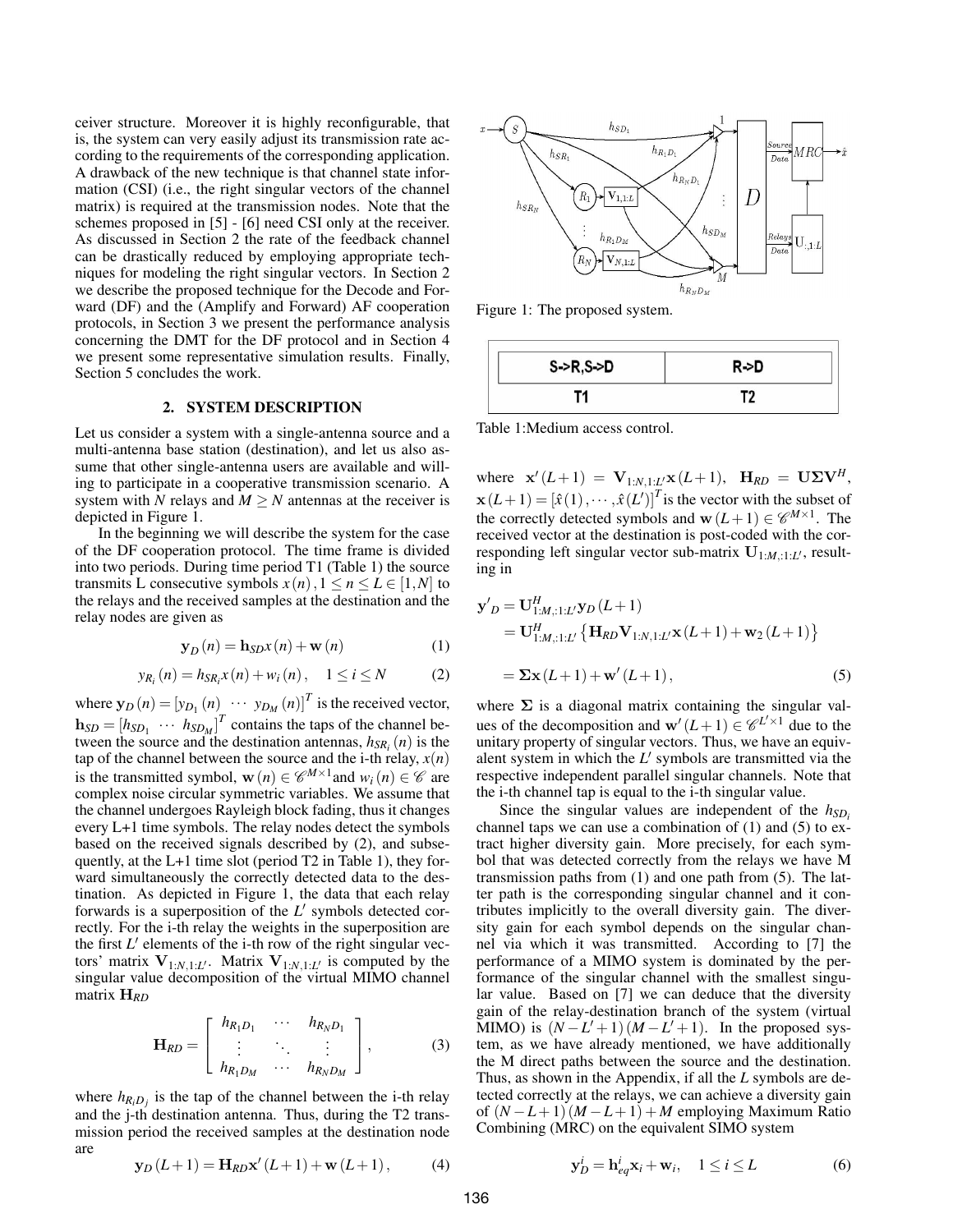ceiver structure. Moreover it is highly reconfigurable, that is, the system can very easily adjust its transmission rate according to the requirements of the corresponding application. A drawback of the new technique is that channel state information (CSI) (i.e., the right singular vectors of the channel matrix) is required at the transmission nodes. Note that the schemes proposed in [5] - [6] need CSI only at the receiver. As discussed in Section 2 the rate of the feedback channel can be drastically reduced by employing appropriate techniques for modeling the right singular vectors. In Section 2 we describe the proposed technique for the Decode and Forward (DF) and the (Amplify and Forward) AF cooperation protocols, in Section 3 we present the performance analysis concerning the DMT for the DF protocol and in Section 4 we present some representative simulation results. Finally, Section 5 concludes the work.

## 2. SYSTEM DESCRIPTION

Let us consider a system with a single-antenna source and a multi-antenna base station (destination), and let us also assume that other single-antenna users are available and willing to participate in a cooperative transmission scenario. A system with *N* relays and  $M \geq N$  antennas at the receiver is depicted in Figure 1.

In the beginning we will describe the system for the case of the DF cooperation protocol. The time frame is divided into two periods. During time period T1 (Table 1) the source transmits L consecutive symbols  $x(n)$ ,  $1 \le n \le L \in [1, N]$  to the relays and the received samples at the destination and the relay nodes are given as

$$
\mathbf{y}_D(n) = \mathbf{h}_{SD}x(n) + \mathbf{w}(n)
$$
 (1)

$$
y_{R_i}(n) = h_{SR_i} x(n) + w_i(n), \quad 1 \le i \le N \tag{2}
$$

where  $\mathbf{y}_D(n) = [y_{D_1}(n) \cdots y_{D_M}(n)]^T$  is the received vector,  $\mathbf{h}_{SD} = [h_{SD_1} \cdots h_{SD_M}]^T$  contains the taps of the channel between the source and the destination antennas,  $h_{SR_i}(n)$  is the tap of the channel between the source and the i-th relay,  $x(n)$ is the transmitted symbol,  $\mathbf{w}(n) \in \mathcal{C}^{M \times 1}$  and  $w_i(n) \in \mathcal{C}$  are complex noise circular symmetric variables. We assume that the channel undergoes Rayleigh block fading, thus it changes every L+1 time symbols. The relay nodes detect the symbols based on the received signals described by (2), and subsequently, at the L+1 time slot (period T2 in Table 1), they forward simultaneously the correctly detected data to the destination. As depicted in Figure 1, the data that each relay forwards is a superposition of the  $L'$  symbols detected correctly. For the i-th relay the weights in the superposition are the first  $L'$  elements of the i-th row of the right singular vectors' matrix  $V_{1:N,1:L'}$ . Matrix  $V_{1:N,1:L'}$  is computed by the singular value decomposition of the virtual MIMO channel matrix H*RD*

$$
\mathbf{H}_{RD} = \left[ \begin{array}{ccc} h_{R_1D_1} & \cdots & h_{R_ND_1} \\ \vdots & \ddots & \vdots \\ h_{R_1D_M} & \cdots & h_{R_ND_M} \end{array} \right],
$$
 (3)

where  $h_{R_iD_j}$  is the tap of the channel between the i-th relay and the j-th destination antenna. Thus, during the T2 transmission period the received samples at the destination node are

$$
x \rightarrow S
$$
  
\n
$$
h_{SR_1}
$$
  
\n
$$
h_{R_1D_1}
$$
  
\n
$$
h_{R_1D_1}
$$
  
\n
$$
h_{R_2D_2}
$$
  
\n
$$
h_{R_3D_3}
$$
  
\n
$$
h_{R_2D_4}
$$
  
\n
$$
h_{R_3D_M}
$$
  
\n
$$
h_{R_4D_M}
$$
  
\n
$$
h_{R_5D_M}
$$
  
\n
$$
h_{R_6D_M}
$$
  
\n
$$
h_{R_7D_M}
$$
  
\n
$$
h_{R_8D_M}
$$
  
\n
$$
h_{R_8D_M}
$$
  
\n
$$
h_{R_8D_M}
$$
  
\n
$$
h_{R_8D_M}
$$
  
\n
$$
h_{R_8D_M}
$$
  
\n
$$
h_{R_8D_M}
$$

Figure 1: The proposed system.

| S > R, S > D | R->D |
|--------------|------|
|              |      |

Table 1:Medium access control.

where  $\mathbf{x}'(L+1) = \mathbf{V}_{1:N,1:L} \mathbf{x}(L+1), \mathbf{H}_{RD} = \mathbf{U} \mathbf{\Sigma} \mathbf{V}^H$ ,  $\mathbf{x}(L+1) = [\hat{x}(1), \cdots, \hat{x}(L')]^T$  is the vector with the subset of the correctly detected symbols and  $\mathbf{w}(L+1) \in \mathscr{C}^{M \times 1}$ . The received vector at the destination is post-coded with the corresponding left singular vector sub-matrix  $\mathbf{U}_{1:M,:1:L}$ , resulting in

$$
\mathbf{y}'_D = \mathbf{U}_{1:M,:1:L}^H \mathbf{y}_D (L+1)
$$
  
=  $\mathbf{U}_{1:M,:1:L}^H \{ \mathbf{H}_{RD} \mathbf{V}_{1:N,1:L'} \mathbf{x} (L+1) + \mathbf{w}_2 (L+1) \}$   
=  $\Sigma \mathbf{x} (L+1) + \mathbf{w}' (L+1),$  (5)

where  $\Sigma$  is a diagonal matrix containing the singular values of the decomposition and  $\mathbf{w}'(L+1) \in \mathcal{C}^{L' \times 1}$  due to the unitary property of singular vectors. Thus, we have an equivalent system in which the  $L'$  symbols are transmitted via the respective independent parallel singular channels. Note that the i-th channel tap is equal to the i-th singular value.

Since the singular values are independent of the  $h_{SD}$ channel taps we can use a combination of  $(1)$  and  $(5)$  to extract higher diversity gain. More precisely, for each symbol that was detected correctly from the relays we have M transmission paths from (1) and one path from (5). The latter path is the corresponding singular channel and it contributes implicitly to the overall diversity gain. The diversity gain for each symbol depends on the singular channel via which it was transmitted. According to [7] the performance of a MIMO system is dominated by the performance of the singular channel with the smallest singular value. Based on [7] we can deduce that the diversity gain of the relay-destination branch of the system (virtual MIMO) is  $(N - L' + 1)(M - L' + 1)$ . In the proposed system, as we have already mentioned, we have additionally the M direct paths between the source and the destination. Thus, as shown in the Appendix, if all the *L* symbols are detected correctly at the relays, we can achieve a diversity gain of  $(N - L + 1)$   $(M - L + 1) + M$  employing Maximum Ratio Combining (MRC) on the equivalent SIMO system

$$
y_D(L+1) = H_{RD}x'(L+1) + w(L+1),
$$
 (4)

$$
\mathbf{y}_D^i = \mathbf{h}_{eq}^i \mathbf{x}_i + \mathbf{w}_i, \quad 1 \le i \le L \tag{6}
$$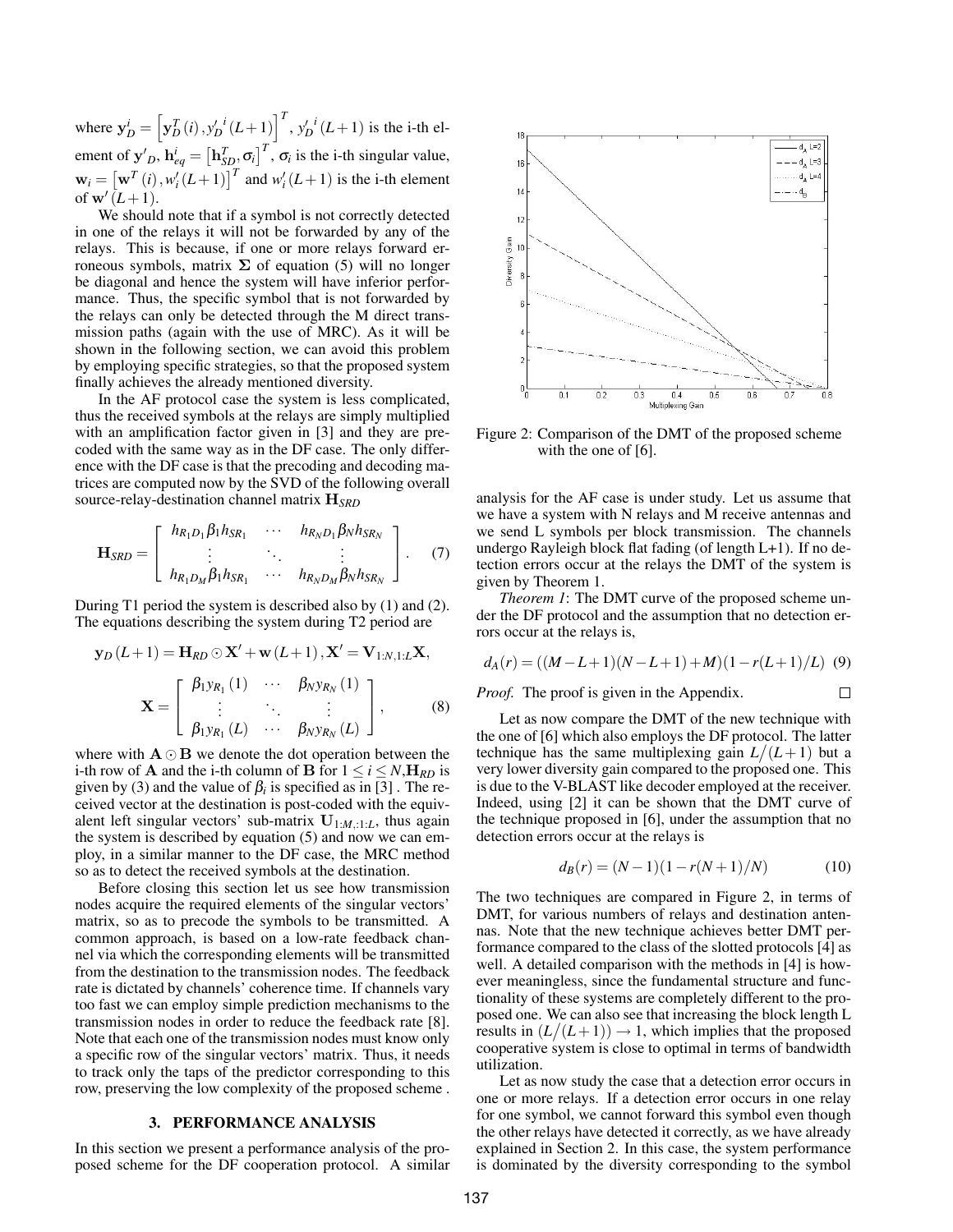where  $y_D^i = \left[ y_D^T(i), y_D^{\prime i}(L+1) \right]^T$ ,  $y_D^{\prime i}(L+1)$  is the i-th element of  $\mathbf{y}'_D$ ,  $\mathbf{h}_{eq}^i = \left[\mathbf{h}_{SD}^T, \sigma_i\right]^T$ ,  $\sigma_i$  is the i-th singular value,  $\mathbf{w}_i = \left[\mathbf{w}^T(i), w'_i(L+1)\right]^T$  and  $w'_i(L+1)$  is the i-th element of  $\mathbf{w}'(L+1)$ .

We should note that if a symbol is not correctly detected in one of the relays it will not be forwarded by any of the relays. This is because, if one or more relays forward erroneous symbols, matrix  $\Sigma$  of equation (5) will no longer be diagonal and hence the system will have inferior performance. Thus, the specific symbol that is not forwarded by the relays can only be detected through the M direct transmission paths (again with the use of MRC). As it will be shown in the following section, we can avoid this problem by employing specific strategies, so that the proposed system finally achieves the already mentioned diversity.

In the AF protocol case the system is less complicated, thus the received symbols at the relays are simply multiplied with an amplification factor given in [3] and they are precoded with the same way as in the DF case. The only difference with the DF case is that the precoding and decoding matrices are computed now by the SVD of the following overall source-relay-destination channel matrix H*SRD*

$$
\mathbf{H}_{SRD} = \left[ \begin{array}{ccc} h_{R_1D_1} \beta_1 h_{SR_1} & \cdots & h_{R_ND_1} \beta_N h_{SR_N} \\ \vdots & \ddots & \vdots \\ h_{R_1D_M} \beta_1 h_{SR_1} & \cdots & h_{R_ND_M} \beta_N h_{SR_N} \end{array} \right].
$$
 (7)

During T1 period the system is described also by (1) and (2). The equations describing the system during T2 period are

$$
\mathbf{y}_D(L+1) = \mathbf{H}_{RD} \odot \mathbf{X}' + \mathbf{w}(L+1), \mathbf{X}' = \mathbf{V}_{1:N,1:L} \mathbf{X},
$$

$$
\mathbf{X} = \begin{bmatrix} \beta_{1} y_{R_1}(1) & \cdots & \beta_{N} y_{R_N}(1) \\ \vdots & \ddots & \vdots \\ \beta_{1} y_{R_1}(L) & \cdots & \beta_{N} y_{R_N}(L) \end{bmatrix},
$$
(8)

where with  $A \odot B$  we denote the dot operation between the i-th row of **A** and the i-th column of **B** for  $1 \le i \le N$ ,  $H_{RD}$  is given by (3) and the value of  $\beta_i$  is specified as in [3]. The received vector at the destination is post-coded with the equivalent left singular vectors' sub-matrix  $U_{1:M,:1:L}$ , thus again the system is described by equation (5) and now we can employ, in a similar manner to the DF case, the MRC method so as to detect the received symbols at the destination.

Before closing this section let us see how transmission nodes acquire the required elements of the singular vectors' matrix, so as to precode the symbols to be transmitted. A common approach, is based on a low-rate feedback channel via which the corresponding elements will be transmitted from the destination to the transmission nodes. The feedback rate is dictated by channels' coherence time. If channels vary too fast we can employ simple prediction mechanisms to the transmission nodes in order to reduce the feedback rate [8]. Note that each one of the transmission nodes must know only a specific row of the singular vectors' matrix. Thus, it needs to track only the taps of the predictor corresponding to this row, preserving the low complexity of the proposed scheme .

### 3. PERFORMANCE ANALYSIS

In this section we present a performance analysis of the proposed scheme for the DF cooperation protocol. A similar



Figure 2: Comparison of the DMT of the proposed scheme with the one of [6].

analysis for the AF case is under study. Let us assume that we have a system with N relays and M receive antennas and we send L symbols per block transmission. The channels undergo Rayleigh block flat fading (of length L+1). If no detection errors occur at the relays the DMT of the system is given by Theorem 1.

*Theorem 1*: The DMT curve of the proposed scheme under the DF protocol and the assumption that no detection errors occur at the relays is,

$$
d_A(r) = ((M - L + 1)(N - L + 1) + M)(1 - r(L + 1)/L)
$$
 (9)

*Proof.* The proof is given in the Appendix.

Let as now compare the DMT of the new technique with the one of [6] which also employs the DF protocol. The latter technique has the same multiplexing gain  $L/(L+1)$  but a very lower diversity gain compared to the proposed one. This is due to the V-BLAST like decoder employed at the receiver. Indeed, using [2] it can be shown that the DMT curve of the technique proposed in [6], under the assumption that no detection errors occur at the relays is

$$
d_B(r) = (N-1)(1 - r(N+1)/N)
$$
 (10)

 $\Box$ 

The two techniques are compared in Figure 2, in terms of DMT, for various numbers of relays and destination antennas. Note that the new technique achieves better DMT performance compared to the class of the slotted protocols [4] as well. A detailed comparison with the methods in [4] is however meaningless, since the fundamental structure and functionality of these systems are completely different to the proposed one. We can also see that increasing the block length L results in  $(L/(L+1)) \rightarrow 1$ , which implies that the proposed cooperative system is close to optimal in terms of bandwidth utilization.

Let as now study the case that a detection error occurs in one or more relays. If a detection error occurs in one relay for one symbol, we cannot forward this symbol even though the other relays have detected it correctly, as we have already explained in Section 2. In this case, the system performance is dominated by the diversity corresponding to the symbol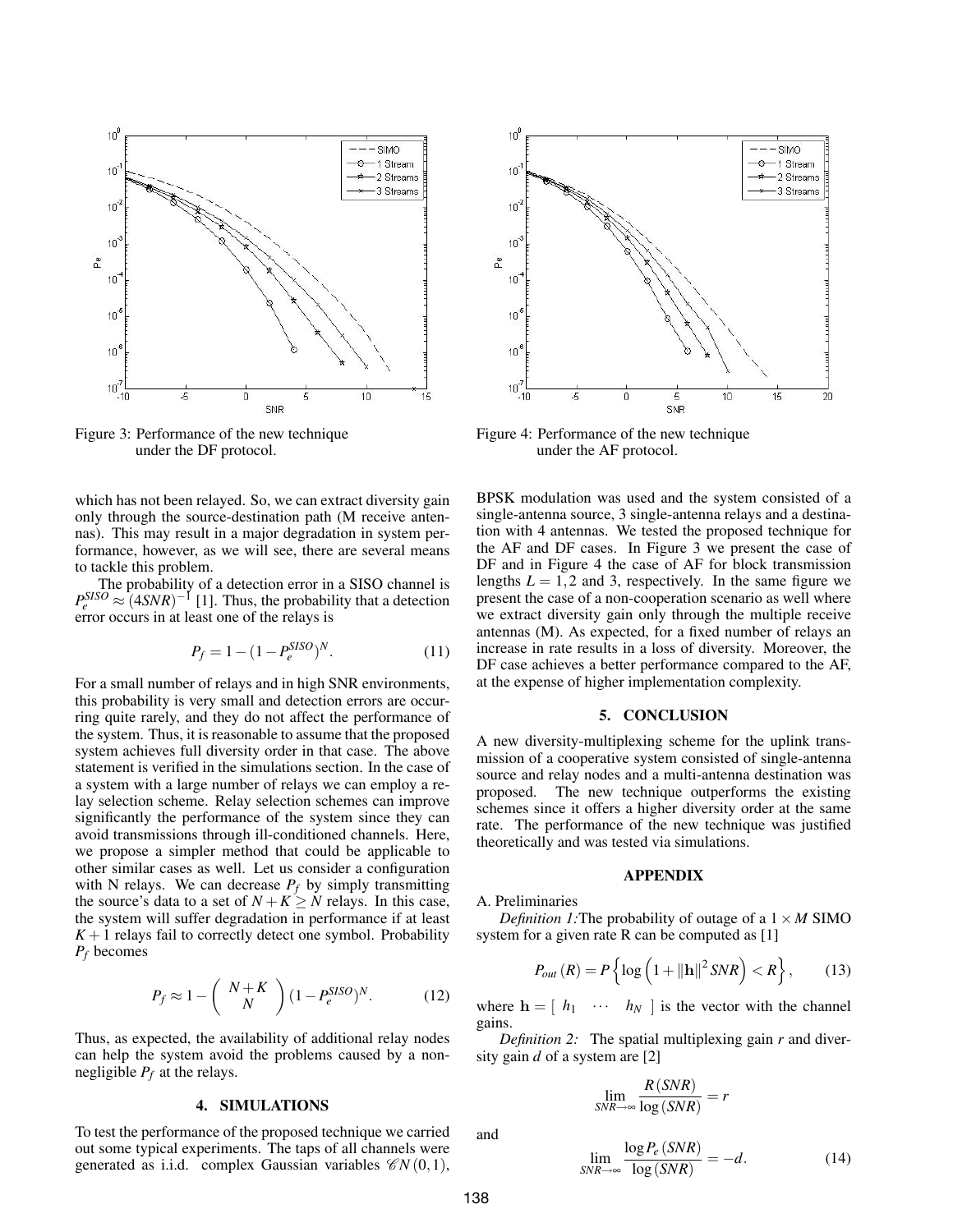

Figure 3: Performance of the new technique under the DF protocol.

which has not been relayed. So, we can extract diversity gain only through the source-destination path (M receive antennas). This may result in a major degradation in system performance, however, as we will see, there are several means to tackle this problem.

The probability of a detection error in a SISO channel is  $P_e^{SISO} \approx (4SNR)^{-1}$  [1]. Thus, the probability that a detection error occurs in at least one of the relays is

$$
P_f = 1 - (1 - P_e^{SISO})^N.
$$
 (11)

For a small number of relays and in high SNR environments, this probability is very small and detection errors are occurring quite rarely, and they do not affect the performance of the system. Thus, it is reasonable to assume that the proposed system achieves full diversity order in that case. The above statement is verified in the simulations section. In the case of a system with a large number of relays we can employ a relay selection scheme. Relay selection schemes can improve significantly the performance of the system since they can avoid transmissions through ill-conditioned channels. Here, we propose a simpler method that could be applicable to other similar cases as well. Let us consider a configuration with N relays. We can decrease  $P_f$  by simply transmitting the source's data to a set of  $N + K \ge N$  relays. In this case, the system will suffer degradation in performance if at least  $K+1$  relays fail to correctly detect one symbol. Probability *P<sup>f</sup>* becomes

$$
P_f \approx 1 - \left(\begin{array}{c} N + K \\ N \end{array}\right) (1 - P_e^{SISO})^N. \tag{12}
$$

Thus, as expected, the availability of additional relay nodes can help the system avoid the problems caused by a nonnegligible  $P_f$  at the relays.

## 4. SIMULATIONS

To test the performance of the proposed technique we carried out some typical experiments. The taps of all channels were generated as i.i.d. complex Gaussian variables  $\mathcal{CN}(0,1)$ ,



Figure 4: Performance of the new technique under the AF protocol.

BPSK modulation was used and the system consisted of a single-antenna source, 3 single-antenna relays and a destination with 4 antennas. We tested the proposed technique for the AF and DF cases. In Figure 3 we present the case of DF and in Figure 4 the case of AF for block transmission lengths  $L = 1, 2$  and 3, respectively. In the same figure we present the case of a non-cooperation scenario as well where we extract diversity gain only through the multiple receive antennas (M). As expected, for a fixed number of relays an increase in rate results in a loss of diversity. Moreover, the DF case achieves a better performance compared to the AF, at the expense of higher implementation complexity.

#### 5. CONCLUSION

A new diversity-multiplexing scheme for the uplink transmission of a cooperative system consisted of single-antenna source and relay nodes and a multi-antenna destination was proposed. The new technique outperforms the existing schemes since it offers a higher diversity order at the same rate. The performance of the new technique was justified theoretically and was tested via simulations.

## APPENDIX

#### A. Preliminaries

*Definition 1:* The probability of outage of a  $1 \times M$  SIMO system for a given rate R can be computed as [1]

$$
P_{out}(R) = P\left\{\log\left(1 + \|\mathbf{h}\|^2 SNR\right) < R\right\},\tag{13}
$$

where  $h = \begin{bmatrix} h_1 & \cdots & h_N \end{bmatrix}$  is the vector with the channel gains.

*Definition 2:* The spatial multiplexing gain *r* and diversity gain *d* of a system are [2]

$$
\lim_{SNR \to \infty} \frac{R(SNR)}{\log(SNR)} = r
$$

and

$$
\lim_{SNR \to \infty} \frac{\log P_e(SNR)}{\log(SNR)} = -d. \tag{14}
$$